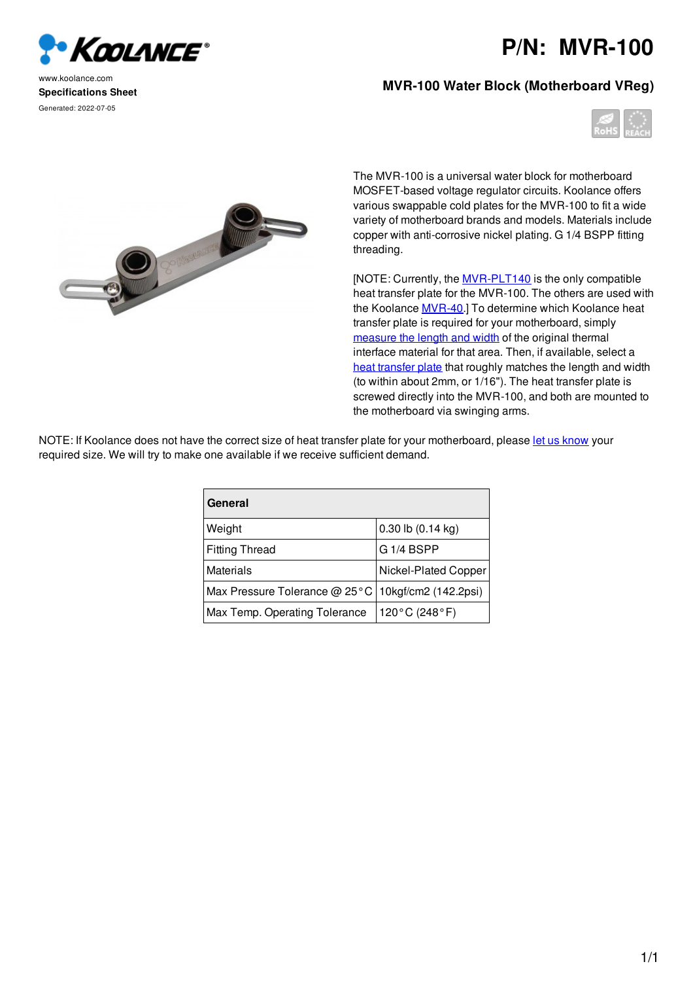

www.koolance.com **Specifications Sheet** Generated: 2022-07-05

## **P/N: MVR-100**

## **MVR-100 Water Block (Motherboard VReg)**





The MVR-100 is a universal water block for motherboard MOSFET-based voltage regulator circuits. Koolance offers various swappable cold plates for the MVR-100 to fit a wide variety of motherboard brands and models. Materials include copper with anti-corrosive nickel plating. G 1/4 BSPP fitting threading.

[NOTE: Currently, the MVR-PLT140 is the only compatible heat transfer plate for the MVR-100. The others are used with the Koolance MVR-40.] To determine which Koolance heat transfer plate is required for your motherboard, simply measure the length and width of the original thermal interface material for that area. Then, if available, select a heat transfer plate that roughly matches the length and width (to within about 2mm, or 1/16"). The heat transfer plate is screwed directly into the MVR-100, and both are mounted to the motherboard via swinging arms.

NOTE: If Koolance does not have the correct size of heat transfer plate for your motherboard, please let us know your required size. We will try to make one available if we receive sufficient demand.

| General                                              |                       |
|------------------------------------------------------|-----------------------|
| Weight                                               | $0.30$ lb $(0.14$ kg) |
| <b>Fitting Thread</b>                                | G 1/4 BSPP            |
| Materials                                            | Nickel-Plated Copper  |
| Max Pressure Tolerance @ 25°C   10kgf/cm2 (142.2psi) |                       |
| Max Temp. Operating Tolerance                        | 120°C (248°F)         |